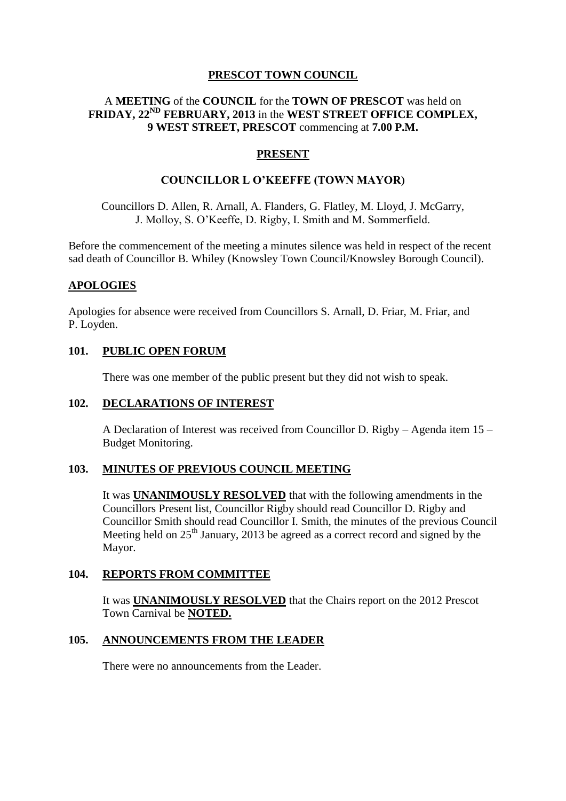# **PRESCOT TOWN COUNCIL**

## A **MEETING** of the **COUNCIL** for the **TOWN OF PRESCOT** was held on **FRIDAY, 22ND FEBRUARY, 2013** in the **WEST STREET OFFICE COMPLEX, 9 WEST STREET, PRESCOT** commencing at **7.00 P.M.**

### **PRESENT**

### **COUNCILLOR L O'KEEFFE (TOWN MAYOR)**

Councillors D. Allen, R. Arnall, A. Flanders, G. Flatley, M. Lloyd, J. McGarry, J. Molloy, S. O'Keeffe, D. Rigby, I. Smith and M. Sommerfield.

Before the commencement of the meeting a minutes silence was held in respect of the recent sad death of Councillor B. Whiley (Knowsley Town Council/Knowsley Borough Council).

#### **APOLOGIES**

Apologies for absence were received from Councillors S. Arnall, D. Friar, M. Friar, and P. Loyden.

# **101. PUBLIC OPEN FORUM**

There was one member of the public present but they did not wish to speak.

#### **102. DECLARATIONS OF INTEREST**

A Declaration of Interest was received from Councillor D. Rigby – Agenda item 15 – Budget Monitoring.

### **103. MINUTES OF PREVIOUS COUNCIL MEETING**

It was **UNANIMOUSLY RESOLVED** that with the following amendments in the Councillors Present list, Councillor Rigby should read Councillor D. Rigby and Councillor Smith should read Councillor I. Smith, the minutes of the previous Council Meeting held on  $25<sup>th</sup>$  January, 2013 be agreed as a correct record and signed by the Mayor.

### **104. REPORTS FROM COMMITTEE**

It was **UNANIMOUSLY RESOLVED** that the Chairs report on the 2012 Prescot Town Carnival be **NOTED.**

### **105. ANNOUNCEMENTS FROM THE LEADER**

There were no announcements from the Leader.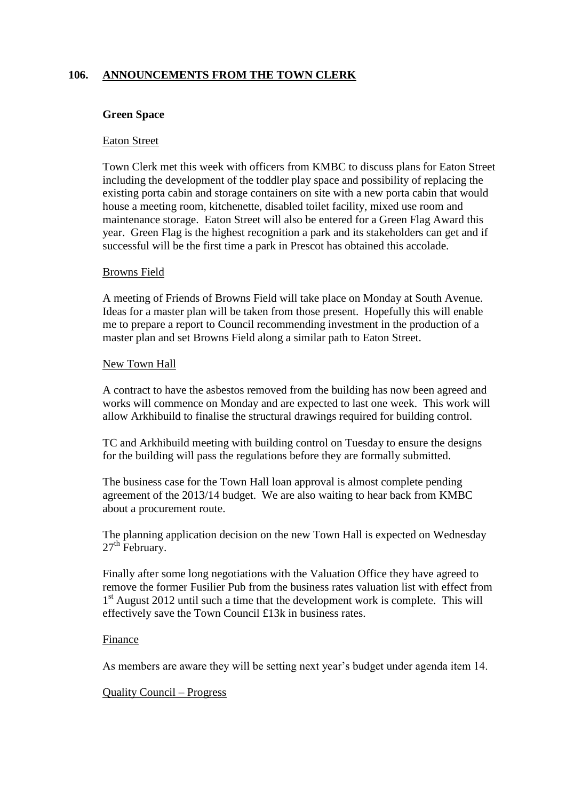# **106. ANNOUNCEMENTS FROM THE TOWN CLERK**

### **Green Space**

#### Eaton Street

Town Clerk met this week with officers from KMBC to discuss plans for Eaton Street including the development of the toddler play space and possibility of replacing the existing porta cabin and storage containers on site with a new porta cabin that would house a meeting room, kitchenette, disabled toilet facility, mixed use room and maintenance storage. Eaton Street will also be entered for a Green Flag Award this year. Green Flag is the highest recognition a park and its stakeholders can get and if successful will be the first time a park in Prescot has obtained this accolade.

### Browns Field

A meeting of Friends of Browns Field will take place on Monday at South Avenue. Ideas for a master plan will be taken from those present. Hopefully this will enable me to prepare a report to Council recommending investment in the production of a master plan and set Browns Field along a similar path to Eaton Street.

#### New Town Hall

A contract to have the asbestos removed from the building has now been agreed and works will commence on Monday and are expected to last one week. This work will allow Arkhibuild to finalise the structural drawings required for building control.

TC and Arkhibuild meeting with building control on Tuesday to ensure the designs for the building will pass the regulations before they are formally submitted.

The business case for the Town Hall loan approval is almost complete pending agreement of the 2013/14 budget. We are also waiting to hear back from KMBC about a procurement route.

The planning application decision on the new Town Hall is expected on Wednesday  $27<sup>th</sup>$  February.

Finally after some long negotiations with the Valuation Office they have agreed to remove the former Fusilier Pub from the business rates valuation list with effect from 1<sup>st</sup> August 2012 until such a time that the development work is complete. This will effectively save the Town Council £13k in business rates.

### Finance

As members are aware they will be setting next year's budget under agenda item 14.

### Quality Council – Progress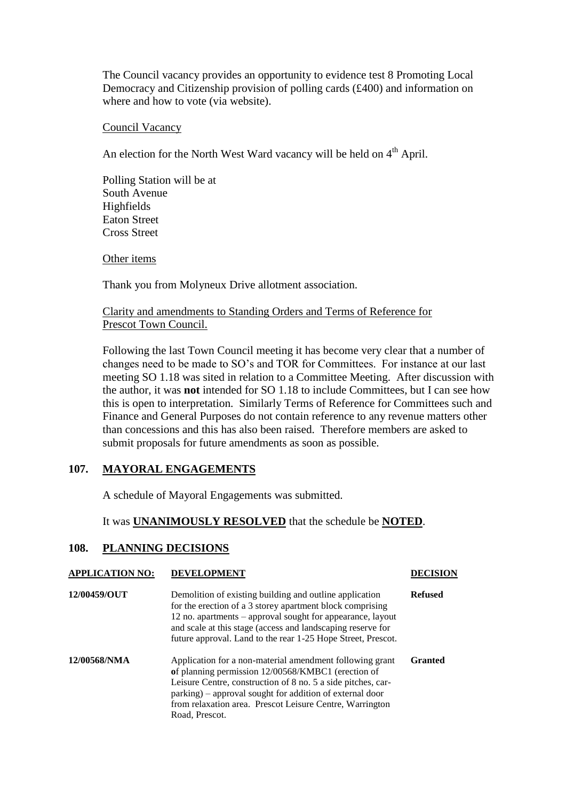The Council vacancy provides an opportunity to evidence test 8 Promoting Local Democracy and Citizenship provision of polling cards (£400) and information on where and how to vote (via website).

Council Vacancy

An election for the North West Ward vacancy will be held on 4<sup>th</sup> April.

Polling Station will be at South Avenue Highfields Eaton Street Cross Street

Other items

Thank you from Molyneux Drive allotment association.

### Clarity and amendments to Standing Orders and Terms of Reference for Prescot Town Council.

Following the last Town Council meeting it has become very clear that a number of changes need to be made to SO's and TOR for Committees. For instance at our last meeting SO 1.18 was sited in relation to a Committee Meeting. After discussion with the author, it was **not** intended for SO 1.18 to include Committees, but I can see how this is open to interpretation. Similarly Terms of Reference for Committees such and Finance and General Purposes do not contain reference to any revenue matters other than concessions and this has also been raised. Therefore members are asked to submit proposals for future amendments as soon as possible.

# **107. MAYORAL ENGAGEMENTS**

A schedule of Mayoral Engagements was submitted.

It was **UNANIMOUSLY RESOLVED** that the schedule be **NOTED**.

### **108. PLANNING DECISIONS**

### **APPLICATION NO: DEVELOPMENT DECISION**

| 12/00459/OUT | Demolition of existing building and outline application<br>for the erection of a 3 storey apartment block comprising<br>12 no. apartments – approval sought for appearance, layout<br>and scale at this stage (access and landscaping reserve for<br>future approval. Land to the rear 1-25 Hope Street, Prescot.        | <b>Refused</b> |
|--------------|--------------------------------------------------------------------------------------------------------------------------------------------------------------------------------------------------------------------------------------------------------------------------------------------------------------------------|----------------|
| 12/00568/NMA | Application for a non-material amendment following grant<br>of planning permission 12/00568/KMBC1 (erection of<br>Leisure Centre, construction of 8 no. 5 a side pitches, car-<br>parking) – approval sought for addition of external door<br>from relaxation area. Prescot Leisure Centre, Warrington<br>Road, Prescot. | <b>Granted</b> |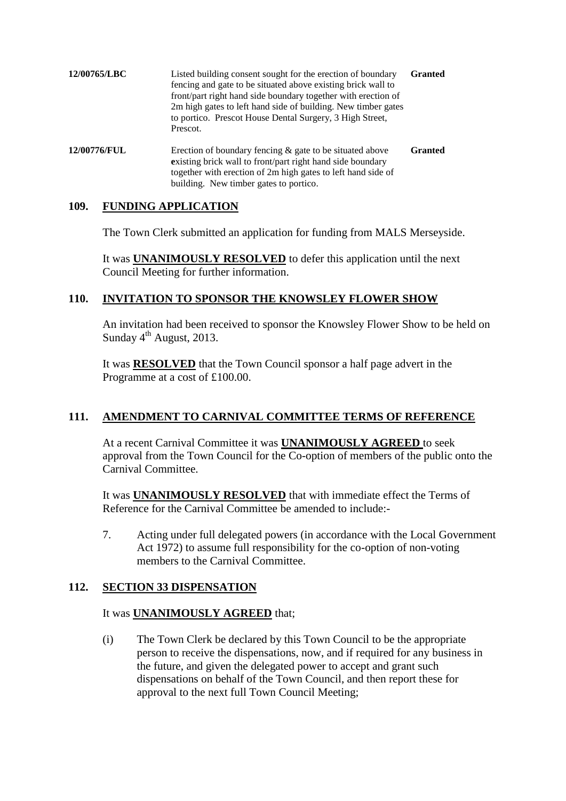| 12/00765/LBC | Listed building consent sought for the erection of boundary<br>fencing and gate to be situated above existing brick wall to<br>front/part right hand side boundary together with erection of<br>2m high gates to left hand side of building. New timber gates<br>to portico. Prescot House Dental Surgery, 3 High Street,<br>Prescot. | <b>Granted</b> |
|--------------|---------------------------------------------------------------------------------------------------------------------------------------------------------------------------------------------------------------------------------------------------------------------------------------------------------------------------------------|----------------|
| 12/00776/FUL | Erection of boundary fencing $\&$ gate to be situated above<br>existing brick wall to front/part right hand side boundary<br>together with erection of 2m high gates to left hand side of                                                                                                                                             | <b>Granted</b> |

building. New timber gates to portico.

# **109. FUNDING APPLICATION**

The Town Clerk submitted an application for funding from MALS Merseyside.

It was **UNANIMOUSLY RESOLVED** to defer this application until the next Council Meeting for further information.

### **110. INVITATION TO SPONSOR THE KNOWSLEY FLOWER SHOW**

An invitation had been received to sponsor the Knowsley Flower Show to be held on Sunday  $4<sup>th</sup>$  August, 2013.

It was **RESOLVED** that the Town Council sponsor a half page advert in the Programme at a cost of £100.00.

# **111. AMENDMENT TO CARNIVAL COMMITTEE TERMS OF REFERENCE**

At a recent Carnival Committee it was **UNANIMOUSLY AGREED** to seek approval from the Town Council for the Co-option of members of the public onto the Carnival Committee.

It was **UNANIMOUSLY RESOLVED** that with immediate effect the Terms of Reference for the Carnival Committee be amended to include:-

7. Acting under full delegated powers (in accordance with the Local Government Act 1972) to assume full responsibility for the co-option of non-voting members to the Carnival Committee.

# **112. SECTION 33 DISPENSATION**

### It was **UNANIMOUSLY AGREED** that;

(i) The Town Clerk be declared by this Town Council to be the appropriate person to receive the dispensations, now, and if required for any business in the future, and given the delegated power to accept and grant such dispensations on behalf of the Town Council, and then report these for approval to the next full Town Council Meeting;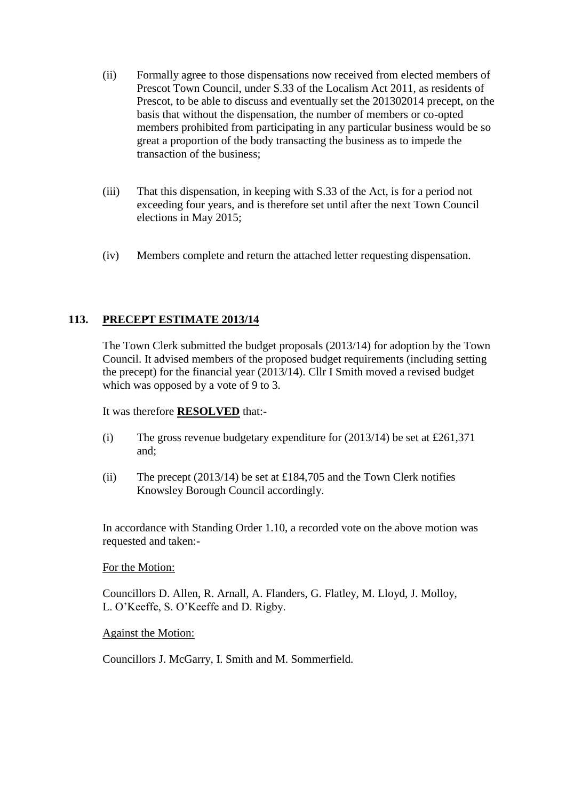- (ii) Formally agree to those dispensations now received from elected members of Prescot Town Council, under S.33 of the Localism Act 2011, as residents of Prescot, to be able to discuss and eventually set the 201302014 precept, on the basis that without the dispensation, the number of members or co-opted members prohibited from participating in any particular business would be so great a proportion of the body transacting the business as to impede the transaction of the business;
- (iii) That this dispensation, in keeping with S.33 of the Act, is for a period not exceeding four years, and is therefore set until after the next Town Council elections in May 2015;
- (iv) Members complete and return the attached letter requesting dispensation.

# **113. PRECEPT ESTIMATE 2013/14**

The Town Clerk submitted the budget proposals (2013/14) for adoption by the Town Council. It advised members of the proposed budget requirements (including setting the precept) for the financial year (2013/14). Cllr I Smith moved a revised budget which was opposed by a vote of 9 to 3.

It was therefore **RESOLVED** that:-

- (i) The gross revenue budgetary expenditure for  $(2013/14)$  be set at £261,371 and;
- (ii) The precept  $(2013/14)$  be set at £184,705 and the Town Clerk notifies Knowsley Borough Council accordingly.

In accordance with Standing Order 1.10, a recorded vote on the above motion was requested and taken:-

#### For the Motion:

Councillors D. Allen, R. Arnall, A. Flanders, G. Flatley, M. Lloyd, J. Molloy, L. O'Keeffe, S. O'Keeffe and D. Rigby.

#### Against the Motion:

Councillors J. McGarry, I. Smith and M. Sommerfield.